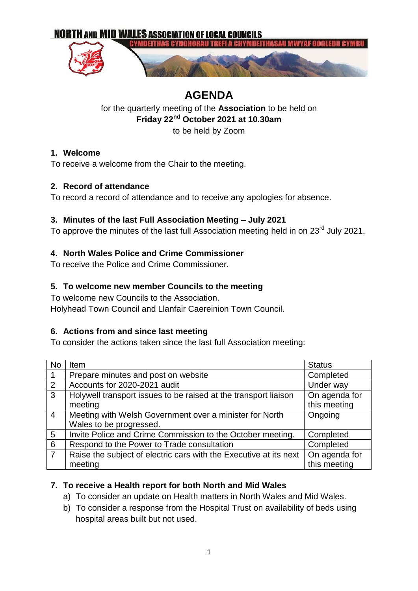

# **AGENDA**

for the quarterly meeting of the **Association** to be held on **Friday 22nd October 2021 at 10.30am** to be held by Zoom

# **1. Welcome**

To receive a welcome from the Chair to the meeting.

# **2. Record of attendance**

To record a record of attendance and to receive any apologies for absence.

### **3. Minutes of the last Full Association Meeting – July 2021**

To approve the minutes of the last full Association meeting held in on 23<sup>rd</sup> July 2021.

# **4. North Wales Police and Crime Commissioner**

To receive the Police and Crime Commissioner.

# **5. To welcome new member Councils to the meeting**

To welcome new Councils to the Association.

Holyhead Town Council and Llanfair Caereinion Town Council.

# **6. Actions from and since last meeting**

To consider the actions taken since the last full Association meeting:

| No             | Item                                                              | <b>Status</b> |
|----------------|-------------------------------------------------------------------|---------------|
|                | Prepare minutes and post on website                               | Completed     |
| 2              | Accounts for 2020-2021 audit                                      | Under way     |
| 3              | Holywell transport issues to be raised at the transport liaison   | On agenda for |
|                | meeting                                                           | this meeting  |
| $\overline{4}$ | Meeting with Welsh Government over a minister for North           | Ongoing       |
|                | Wales to be progressed.                                           |               |
| 5              | Invite Police and Crime Commission to the October meeting.        | Completed     |
| 6              | Respond to the Power to Trade consultation                        | Completed     |
| $\overline{7}$ | Raise the subject of electric cars with the Executive at its next | On agenda for |
|                | meeting                                                           | this meeting  |

# **7. To receive a Health report for both North and Mid Wales**

- a) To consider an update on Health matters in North Wales and Mid Wales.
- b) To consider a response from the Hospital Trust on availability of beds using hospital areas built but not used.